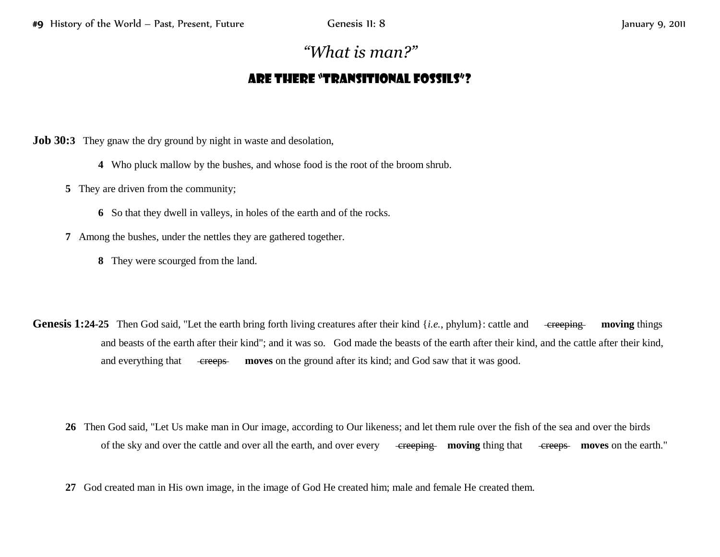## *"What is man?"*

## Are there "transitional fossils"?

**Job 30:3** They gnaw the dry ground by night in waste and desolation,

- **4** Who pluck mallow by the bushes, and whose food is the root of the broom shrub.
- **5** They are driven from the community;
	- **6** So that they dwell in valleys, in holes of the earth and of the rocks.
- **7** Among the bushes, under the nettles they are gathered together.
	- **8** They were scourged from the land.
- **Genesis 1:24-25** Then God said, "Let the earth bring forth living creatures after their kind {*i.e.*, phylum}: cattle and creeping moving things and beasts of the earth after their kind"; and it was so. God made the beasts of the earth after their kind, and the cattle after their kind, and everything that creeps moves on the ground after its kind; and God saw that it was good.
	- **26** Then God said, "Let Us make man in Our image, according to Our likeness; and let them rule over the fish of the sea and over the birds of the sky and over the cattle and over all the earth, and over every creeping **moving** thing that creeps **moves** on the earth."
	- **27** God created man in His own image, in the image of God He created him; male and female He created them.